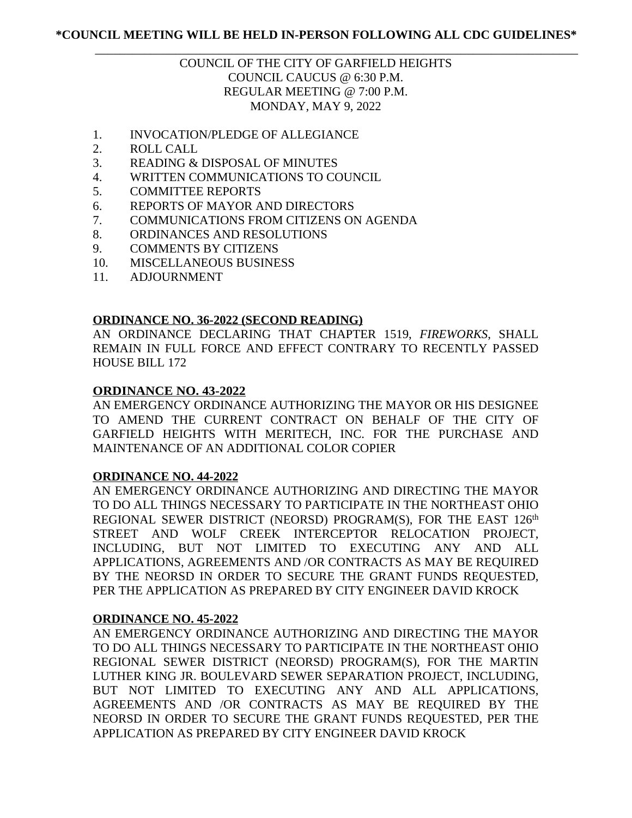# \_\_\_\_\_\_\_\_\_\_\_\_\_\_\_\_\_\_\_\_\_\_\_\_\_\_\_\_\_\_\_\_\_\_\_\_\_\_\_\_\_\_\_\_\_\_\_\_\_\_\_\_\_\_\_\_\_\_\_\_\_\_\_\_\_\_\_\_\_\_\_\_\_\_\_\_\_\_ COUNCIL OF THE CITY OF GARFIELD HEIGHTS COUNCIL CAUCUS @ 6:30 P.M. REGULAR MEETING @ 7:00 P.M. MONDAY, MAY 9, 2022

- 1. INVOCATION/PLEDGE OF ALLEGIANCE
- 2. ROLL CALL
- 3. READING & DISPOSAL OF MINUTES
- 4. WRITTEN COMMUNICATIONS TO COUNCIL
- 5. COMMITTEE REPORTS
- 6. REPORTS OF MAYOR AND DIRECTORS
- 7. COMMUNICATIONS FROM CITIZENS ON AGENDA
- 8. ORDINANCES AND RESOLUTIONS
- 9. COMMENTS BY CITIZENS
- 10. MISCELLANEOUS BUSINESS
- 11. ADJOURNMENT

## **ORDINANCE NO. 36-2022 (SECOND READING)**

AN ORDINANCE DECLARING THAT CHAPTER 1519, *FIREWORKS*, SHALL REMAIN IN FULL FORCE AND EFFECT CONTRARY TO RECENTLY PASSED HOUSE BILL 172

# **ORDINANCE NO. 43-2022**

AN EMERGENCY ORDINANCE AUTHORIZING THE MAYOR OR HIS DESIGNEE TO AMEND THE CURRENT CONTRACT ON BEHALF OF THE CITY OF GARFIELD HEIGHTS WITH MERITECH, INC. FOR THE PURCHASE AND MAINTENANCE OF AN ADDITIONAL COLOR COPIER

## **ORDINANCE NO. 44-2022**

AN EMERGENCY ORDINANCE AUTHORIZING AND DIRECTING THE MAYOR TO DO ALL THINGS NECESSARY TO PARTICIPATE IN THE NORTHEAST OHIO REGIONAL SEWER DISTRICT (NEORSD) PROGRAM(S), FOR THE EAST 126<sup>th</sup> STREET AND WOLF CREEK INTERCEPTOR RELOCATION PROJECT, INCLUDING, BUT NOT LIMITED TO EXECUTING ANY AND ALL APPLICATIONS, AGREEMENTS AND /OR CONTRACTS AS MAY BE REQUIRED BY THE NEORSD IN ORDER TO SECURE THE GRANT FUNDS REQUESTED, PER THE APPLICATION AS PREPARED BY CITY ENGINEER DAVID KROCK

# **ORDINANCE NO. 45-2022**

AN EMERGENCY ORDINANCE AUTHORIZING AND DIRECTING THE MAYOR TO DO ALL THINGS NECESSARY TO PARTICIPATE IN THE NORTHEAST OHIO REGIONAL SEWER DISTRICT (NEORSD) PROGRAM(S), FOR THE MARTIN LUTHER KING JR. BOULEVARD SEWER SEPARATION PROJECT, INCLUDING, BUT NOT LIMITED TO EXECUTING ANY AND ALL APPLICATIONS, AGREEMENTS AND /OR CONTRACTS AS MAY BE REQUIRED BY THE NEORSD IN ORDER TO SECURE THE GRANT FUNDS REQUESTED, PER THE APPLICATION AS PREPARED BY CITY ENGINEER DAVID KROCK